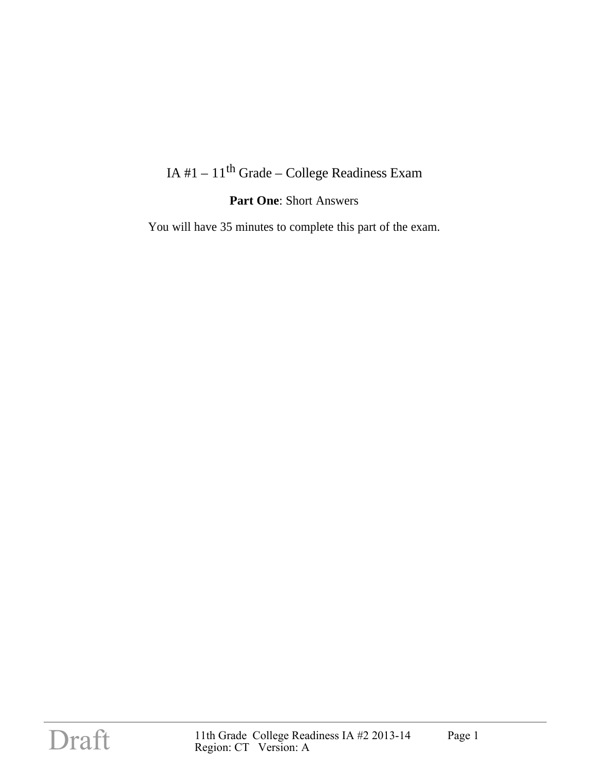## IA #1 –  $11^{th}$  Grade – College Readiness Exam

### **Part One**: Short Answers

You will have 35 minutes to complete this part of the exam.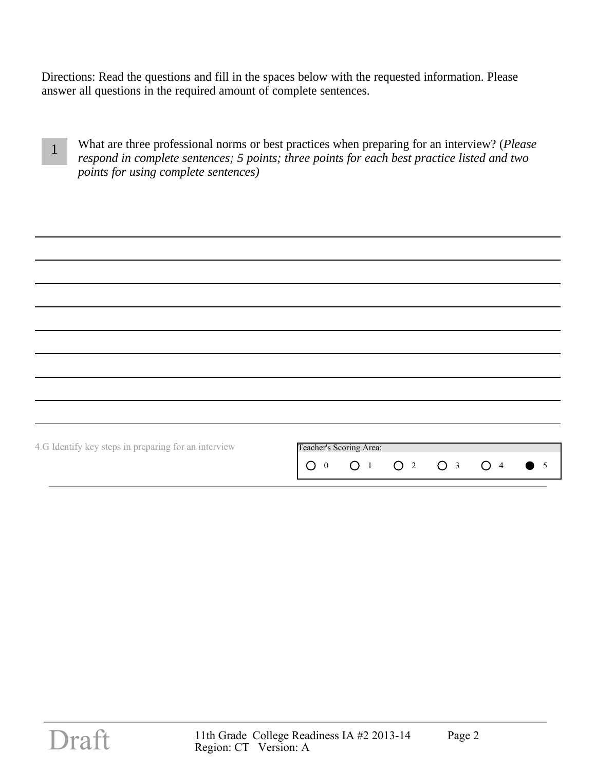Directions: Read the questions and fill in the spaces below with the requested information. Please answer all questions in the required amount of complete sentences.

| What are three professional norms or best practices when preparing for an interview? ( <i>Please</i> )<br>respond in complete sentences; 5 points; three points for each best practice listed and two |
|-------------------------------------------------------------------------------------------------------------------------------------------------------------------------------------------------------|
| <i>points for using complete sentences)</i>                                                                                                                                                           |

| 4.G Identify key steps in preparing for an interview | Teacher's Scoring Area:<br>O 1 O 2 O 3 O 4<br>∩<br>$\overline{0}$<br>5 |
|------------------------------------------------------|------------------------------------------------------------------------|
|                                                      |                                                                        |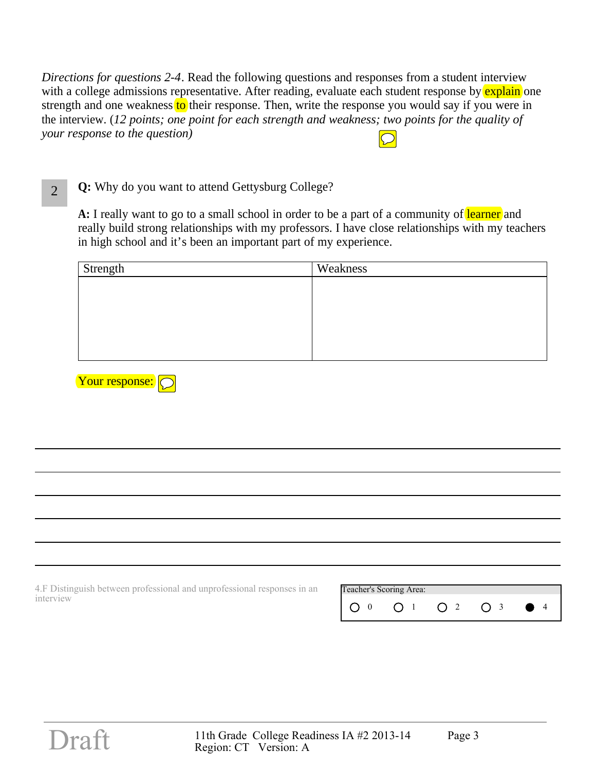*Directions for questions 2-4*. Read the following questions and responses from a student interview with a college admissions representative. After reading, evaluate each student response by explain one strength and one weakness to their response. Then, write the response you would say if you were in the interview. (*12 points; one point for each strength and weakness; two points for the quality of your response to the question)* 

2 **Q:** Why do you want to attend Gettysburg College?

A: I really want to go to a small school in order to be a part of a community of learner and really build strong relationships with my professors. I have close relationships with my teachers in high school and it's been an important part of my experience.

| Strength | Weakness |
|----------|----------|
|          |          |
|          |          |
|          |          |
|          |          |
|          |          |
|          |          |



4.F Distinguish between professional and unprofessional responses in an interview

| Teacher's Scoring Area: |  |  |
|-------------------------|--|--|
|                         |  |  |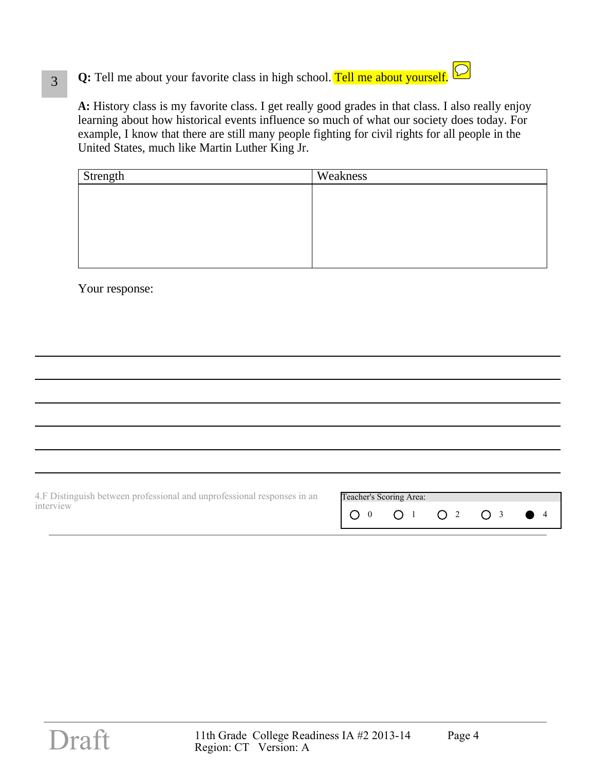# **Q:** Tell me about your favorite class in high school. Tell me about yourself.



**A:** History class is my favorite class. I get really good grades in that class. I also really enjoy learning about how historical events influence so much of what our society does today. For example, I know that there are still many people fighting for civil rights for all people in the United States, much like Martin Luther King Jr.

| Strength | Weakness |
|----------|----------|
|          |          |
|          |          |
|          |          |
|          |          |
|          |          |
|          |          |

Your response:

| 4. F Distinguish between professional and unprofessional responses in an | Teacher's Scoring Area:                        |  |  |
|--------------------------------------------------------------------------|------------------------------------------------|--|--|
| interview                                                                | $1 \bigcirc 0$ $0$ $1$ $0$ $2$ $0$ $3$ $0$ $4$ |  |  |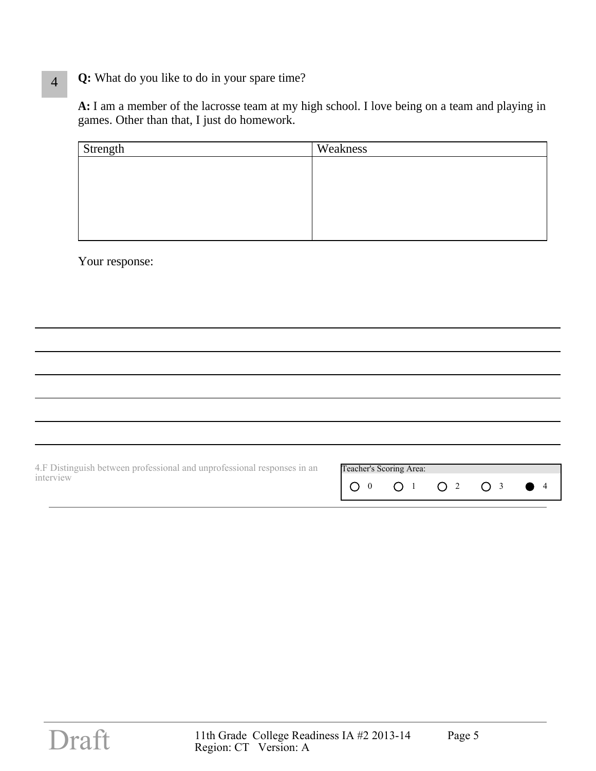### 4 **Q:** What do you like to do in your spare time?

**A:** I am a member of the lacrosse team at my high school. I love being on a team and playing in games. Other than that, I just do homework.

| Strength | Weakness |
|----------|----------|
|          |          |
|          |          |
|          |          |
|          |          |
|          |          |

Your response:

| 4.F Distinguish between professional and unprofessional responses in an | Teacher's Scoring Area: |  |
|-------------------------------------------------------------------------|-------------------------|--|
| interview                                                               |                         |  |
|                                                                         |                         |  |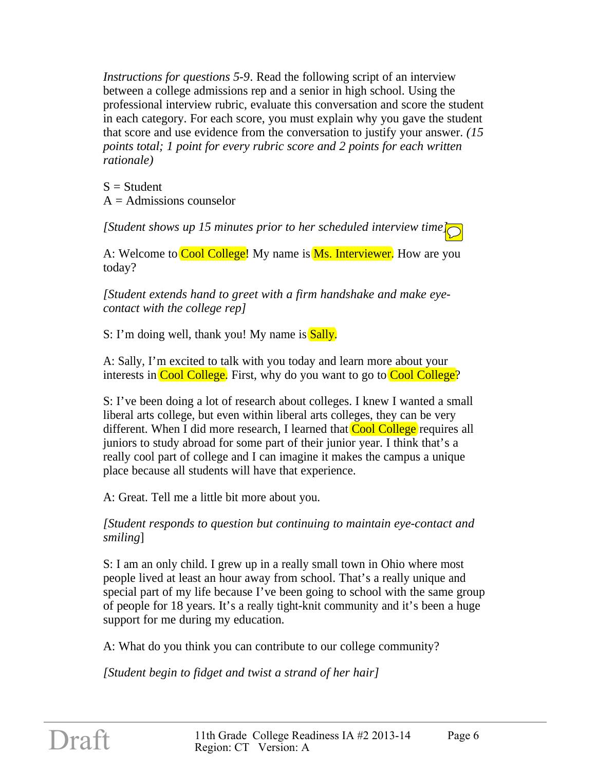*Instructions for questions 5-9*. Read the following script of an interview between a college admissions rep and a senior in high school. Using the professional interview rubric, evaluate this conversation and score the student in each category. For each score, you must explain why you gave the student that score and use evidence from the conversation to justify your answer. *(15 points total; 1 point for every rubric score and 2 points for each written rationale)* 

 $S = Student$  $A =$  Admissions counselor

*[Student shows up 15 minutes prior to her scheduled interview time]*

A: Welcome to Cool College! My name is **Ms. Interviewer.** How are you today?

*[Student extends hand to greet with a firm handshake and make eyecontact with the college rep]*

S: I'm doing well, thank you! My name is Sally.

A: Sally, I'm excited to talk with you today and learn more about your interests in Cool College. First, why do you want to go to Cool College?

S: I've been doing a lot of research about colleges. I knew I wanted a small liberal arts college, but even within liberal arts colleges, they can be very different. When I did more research, I learned that **Cool College** requires all juniors to study abroad for some part of their junior year. I think that's a really cool part of college and I can imagine it makes the campus a unique place because all students will have that experience.

A: Great. Tell me a little bit more about you.

*[Student responds to question but continuing to maintain eye-contact and smiling*]

S: I am an only child. I grew up in a really small town in Ohio where most people lived at least an hour away from school. That's a really unique and special part of my life because I've been going to school with the same group of people for 18 years. It's a really tight-knit community and it's been a huge support for me during my education.

A: What do you think you can contribute to our college community?

*[Student begin to fidget and twist a strand of her hair]*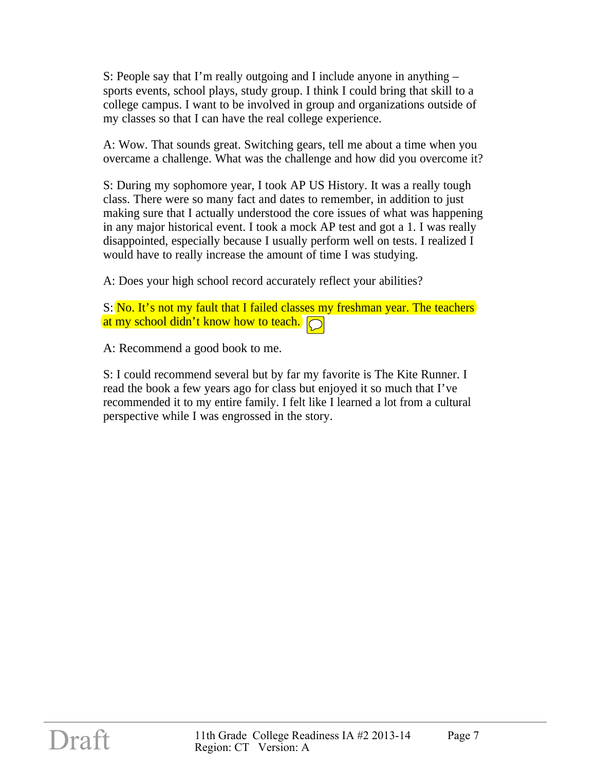S: People say that I'm really outgoing and I include anyone in anything – sports events, school plays, study group. I think I could bring that skill to a college campus. I want to be involved in group and organizations outside of my classes so that I can have the real college experience.

A: Wow. That sounds great. Switching gears, tell me about a time when you overcame a challenge. What was the challenge and how did you overcome it?

S: During my sophomore year, I took AP US History. It was a really tough class. There were so many fact and dates to remember, in addition to just making sure that I actually understood the core issues of what was happening in any major historical event. I took a mock AP test and got a 1. I was really disappointed, especially because I usually perform well on tests. I realized I would have to really increase the amount of time I was studying.

A: Does your high school record accurately reflect your abilities?

S: No. It's not my fault that I failed classes my freshman year. The teachers at my school didn't know how to teach.

A: Recommend a good book to me.

S: I could recommend several but by far my favorite is The Kite Runner. I read the book a few years ago for class but enjoyed it so much that I've recommended it to my entire family. I felt like I learned a lot from a cultural perspective while I was engrossed in the story.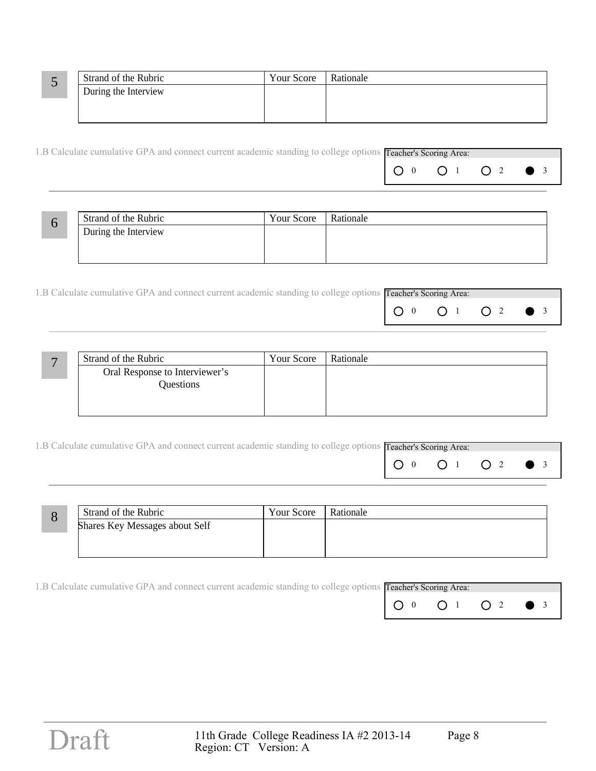|                | Strand of the Rubric | Your Score | Rationale |
|----------------|----------------------|------------|-----------|
| $\overline{ }$ | During the Interview |            |           |
|                |                      |            |           |
|                |                      |            |           |

| 1.B Calculate cumulative GPA and connect current academic standing to college options Teacher's Scoring Area: |  |  |
|---------------------------------------------------------------------------------------------------------------|--|--|
|                                                                                                               |  |  |

| Strand of the Rubric | Your Score | Rationale |
|----------------------|------------|-----------|
| During the Interview |            |           |
|                      |            |           |
|                      |            |           |

| 1.B Calculate cumulative GPA and connect current academic standing to college options Teacher's Scoring Area: |  |  |
|---------------------------------------------------------------------------------------------------------------|--|--|
|                                                                                                               |  |  |

| Strand of the Rubric           | Your Score | Rationale |
|--------------------------------|------------|-----------|
| Oral Response to Interviewer's |            |           |
| Questions                      |            |           |
|                                |            |           |
|                                |            |           |

| 1.B Calculate cumulative GPA and connect current academic standing to college options Teacher's Scoring Area: |  |  |  |
|---------------------------------------------------------------------------------------------------------------|--|--|--|
|                                                                                                               |  |  |  |

| О | Strand of the Rubric           | Your Score | Rationale |
|---|--------------------------------|------------|-----------|
|   | Shares Key Messages about Self |            |           |
|   |                                |            |           |
|   |                                |            |           |

| 1.B Calculate cumulative GPA and connect current academic standing to college options <b>Teacher's Scoring Area:</b> |  |  |
|----------------------------------------------------------------------------------------------------------------------|--|--|
|                                                                                                                      |  |  |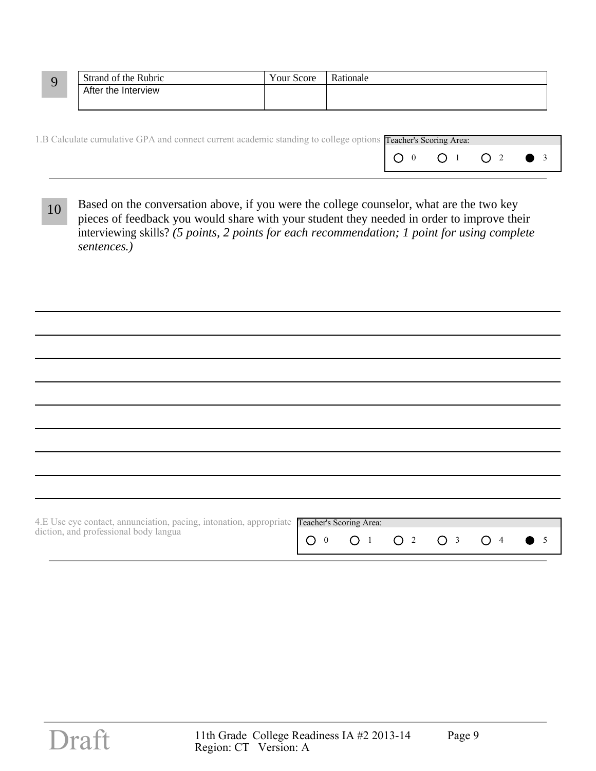|  | Strand of the Rubric | Your Score | Rationale |
|--|----------------------|------------|-----------|
|  | After the Interview  |            |           |
|  |                      |            |           |

| 1.B Calculate cumulative GPA and connect current academic standing to college options Teacher's Scoring Area: |  |  |
|---------------------------------------------------------------------------------------------------------------|--|--|
|                                                                                                               |  |  |

10 Based on the conversation above, if you were the college counselor, what are the two key pieces of feedback you would share with your student they needed in order to improve their interviewing skills? *(5 points, 2 points for each recommendation; 1 point for using complete sentences.)*

| 4.E Use eye contact, annunciation, pacing, intonation, appropriate Teacher's Scoring Area: |  |  |  |  |  |  |
|--------------------------------------------------------------------------------------------|--|--|--|--|--|--|
| diction, and professional body langua                                                      |  |  |  |  |  |  |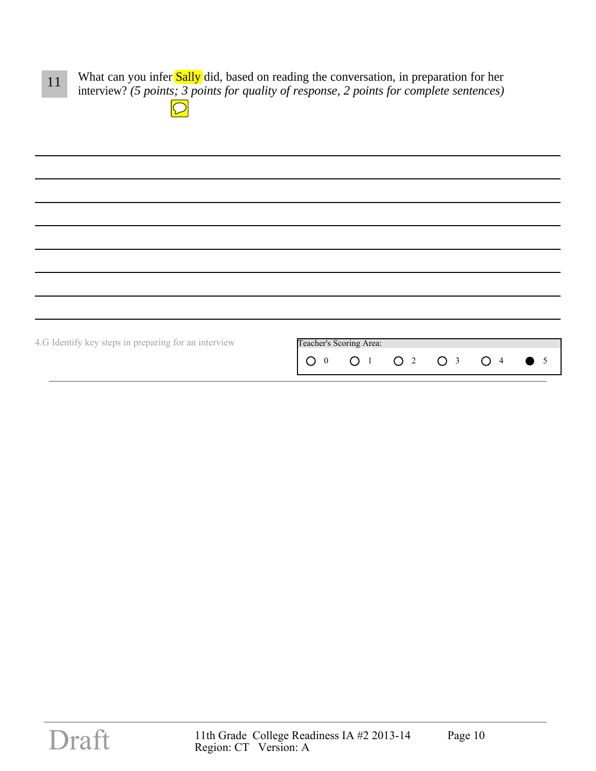11 What can you infer Sally did, based on reading the conversation, in preparation for her interview? *(5 points; 3 points for quality of response, 2 points for complete sentences)*

 $\boxed{\bigcirc}$ 

| 4.G Identify key steps in preparing for an interview | Teacher's Scoring Area:                                              |
|------------------------------------------------------|----------------------------------------------------------------------|
|                                                      | $\bigcirc$ 2 $\bigcirc$ 3 $\bigcirc$ 4<br>$\bigcirc$ 1<br>$O_0$<br>5 |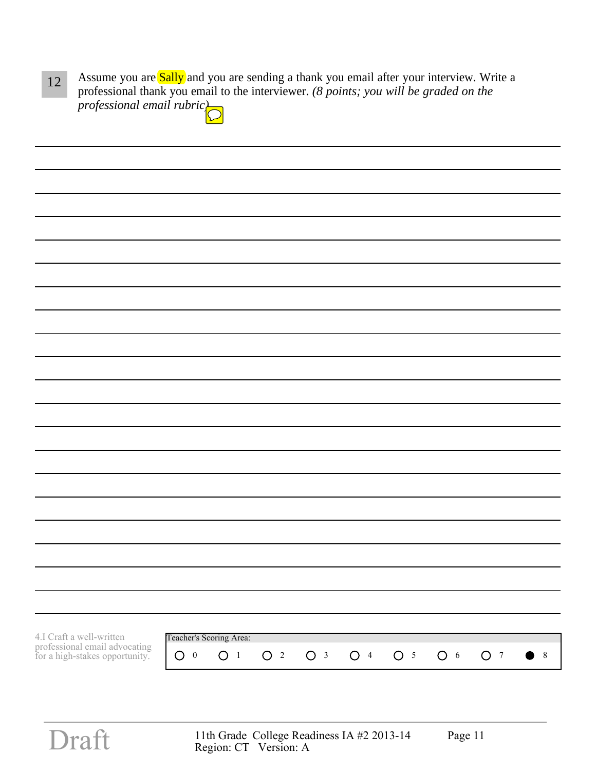| Assume you are <b>Sally</b> and you are sending a thank you email after your interview. Write a |
|-------------------------------------------------------------------------------------------------|
| professional thank you email to the interviewer. (8 points; you will be graded on the           |
| professional email rubric $\sum$                                                                |

| 4.I Craft a well-written                                        |                | Teacher's Scoring Area: |                |                |                |                |                |                |             |
|-----------------------------------------------------------------|----------------|-------------------------|----------------|----------------|----------------|----------------|----------------|----------------|-------------|
| professional email advocating<br>for a high-stakes opportunity. | O <sub>0</sub> | O <sub>1</sub>          | O <sub>2</sub> | O <sub>3</sub> | O <sup>4</sup> | O <sub>5</sub> | O <sub>6</sub> | O <sub>7</sub> | $\bullet$ 8 |
|                                                                 |                |                         |                |                |                |                |                |                |             |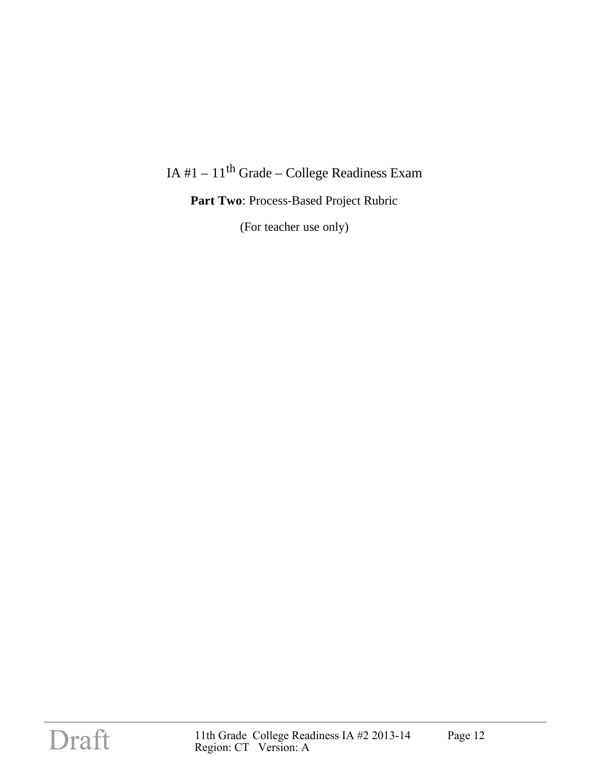# IA #1 –  $11^{th}$  Grade – College Readiness Exam

**Part Two**: Process-Based Project Rubric

(For teacher use only)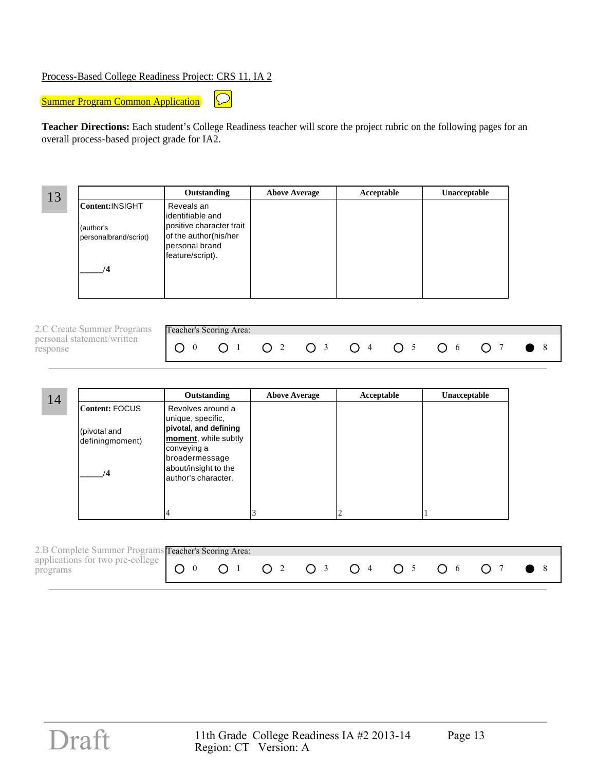### Process-Based College Readiness Project: CRS 11, IA 2

 $\boxed{\bigcirc}$ **Summer Program Common Application** 

**Teacher Directions:** Each student's College Readiness teacher will score the project rubric on the following pages for an overall process-based project grade for IA2.

13 **Outstanding Above Average Acceptable Unacceptable Content:**INSIGHT (author's personalbrand/script) **\_\_\_\_\_/4** Reveals an identifiable and positive character trait of the author(his/her personal brand feature/script).

| 2.C Create Summer Programs Teacher's Scoring Area: |  |  |  |  |  |  |  |  |  |
|----------------------------------------------------|--|--|--|--|--|--|--|--|--|
| personal statement/written<br>response             |  |  |  |  |  |  |  |  |  |

| 14 |                                                    | Outstanding                                                                                                                                                              | <b>Above Average</b> | Acceptable | Unacceptable |
|----|----------------------------------------------------|--------------------------------------------------------------------------------------------------------------------------------------------------------------------------|----------------------|------------|--------------|
|    | Content: FOCUS <br>(pivotal and<br>definingmoment) | Revolves around a<br>unique, specific,<br>pivotal, and defining<br>moment, while subtly<br>conveying a<br>broadermessage<br>about/insight to the<br>lauthor's character. |                      |            |              |
|    |                                                    |                                                                                                                                                                          |                      |            |              |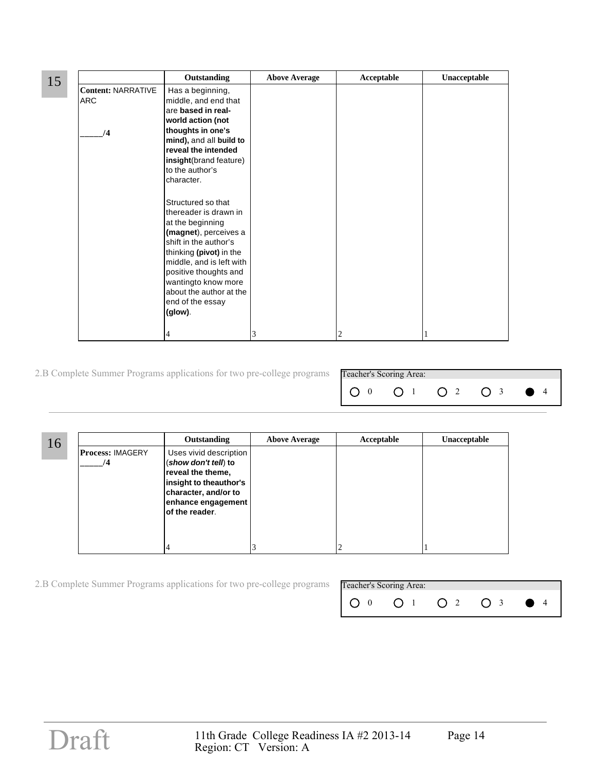|    |                                                            | Outstanding                                                                                                                                                                                                                                                                                                                                                                                                                                                                                                 | <b>Above Average</b> | Acceptable | Unacceptable |
|----|------------------------------------------------------------|-------------------------------------------------------------------------------------------------------------------------------------------------------------------------------------------------------------------------------------------------------------------------------------------------------------------------------------------------------------------------------------------------------------------------------------------------------------------------------------------------------------|----------------------|------------|--------------|
| 15 | <b>Content: NARRATIVE</b><br><b>ARC</b><br>$\overline{14}$ | Has a beginning,<br>middle, and end that<br>are based in real-<br>world action (not<br>thoughts in one's<br>mind), and all build to<br>reveal the intended<br>insight(brand feature)<br>to the author's<br>character.<br>Structured so that<br>thereader is drawn in<br>at the beginning<br>(magnet), perceives a<br>shift in the author's<br>thinking (pivot) in the<br>middle, and is left with<br>positive thoughts and<br>wantingto know more<br>about the author at the<br>end of the essay<br>(glow). |                      |            |              |
|    |                                                            | 4                                                                                                                                                                                                                                                                                                                                                                                                                                                                                                           | 3                    | 2          |              |

2.B Complete Summer Programs applications for two pre-college programs

| Teacher's Scoring Area: |  |  |
|-------------------------|--|--|
|                         |  |  |

| 16 |                               | Outstanding                                                                                                                                                   | <b>Above Average</b> | Acceptable | Unacceptable |
|----|-------------------------------|---------------------------------------------------------------------------------------------------------------------------------------------------------------|----------------------|------------|--------------|
|    | <b>Process: IMAGERY</b><br>/4 | Uses vivid description<br>(show don't tell) to<br>reveal the theme,<br>insight to theauthor's<br>character, and/or to<br>enhance engagement<br>of the reader. |                      |            |              |
|    |                               |                                                                                                                                                               |                      |            |              |

2.B Complete Summer Programs applications for two pre-college programs

| Teacher's Scoring Area: |  |  |
|-------------------------|--|--|
|                         |  |  |